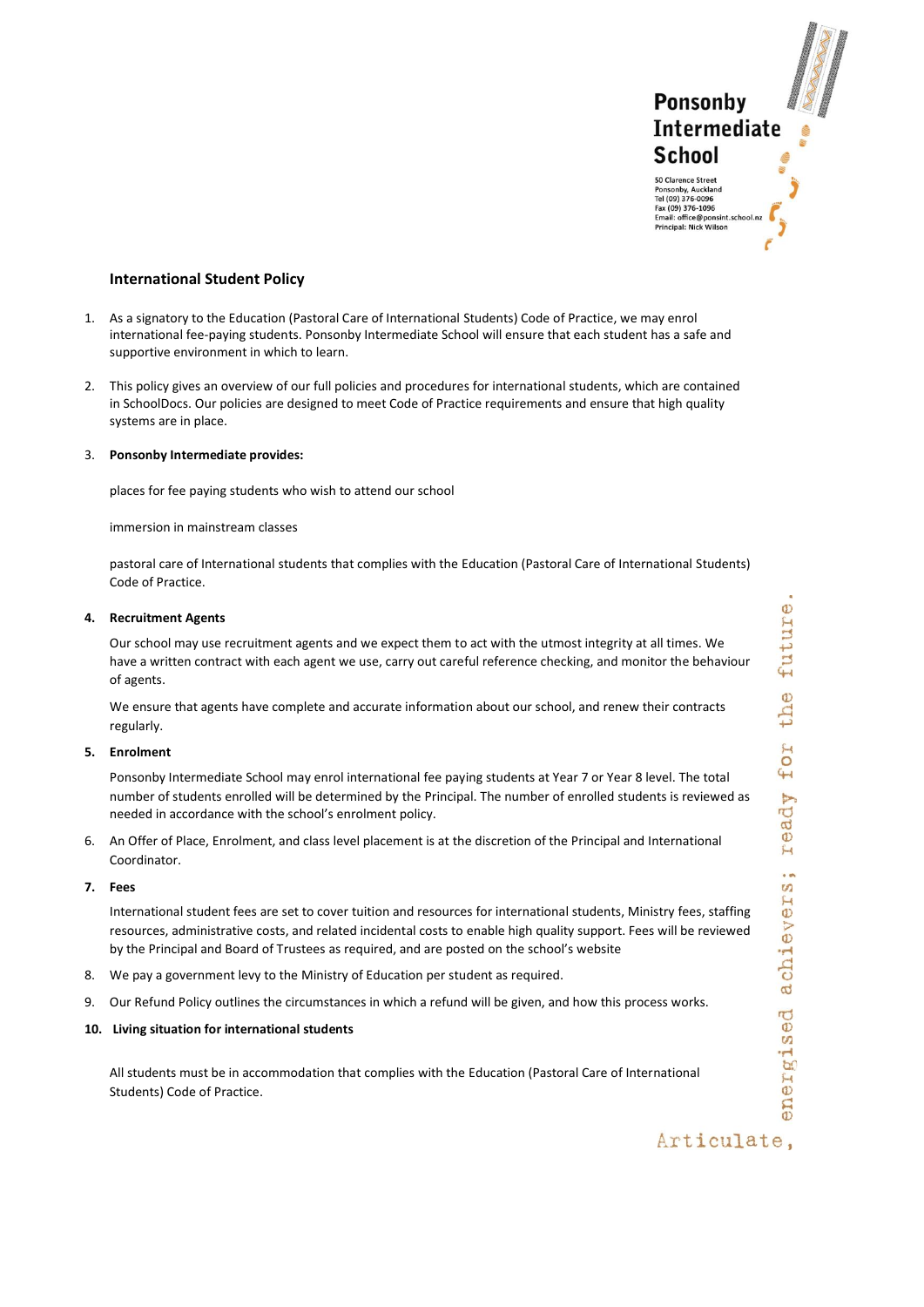**Ponsonby Intermediate** School 50 Clarence Street Ponsonby, Auckland Tel (09) 376-0096 Fax (09) 376-0050<br>Fax (09) 376-1096<br>Email: office@ponsint<br>Principal: Nick Wilson

# **International Student Policy**

- 1. As a signatory to the Education (Pastoral Care of International Students) Code of Practice, we may enrol international fee-paying students. Ponsonby Intermediate School will ensure that each student has a safe and supportive environment in which to learn.
- 2. This policy gives an overview of our full policies and procedures for international students, which are contained in SchoolDocs. Our policies are designed to meet Code of Practice requirements and ensure that high quality systems are in place.

# 3. **Ponsonby Intermediate provides:**

places for fee paying students who wish to attend our school

immersion in mainstream classes

pastoral care of International students that complies with the Education (Pastoral Care of International Students) Code of Practice.

### **4. Recruitment Agents**

Our school may use recruitment agents and we expect them to act with the utmost integrity at all times. We have a written contract with each agent we use, carry out careful reference checking, and monitor the behaviour of agents.

We ensure that agents have complete and accurate information about our school, and renew their contracts regularly.

#### **5. Enrolment**

Ponsonby Intermediate School may enrol international fee paying students at Year 7 or Year 8 level. The total number of students enrolled will be determined by the Principal. The number of enrolled students is reviewed as needed in accordance with the school's enrolment policy.

6. An Offer of Place, Enrolment, and class level placement is at the discretion of the Principal and International Coordinator.

# **7. Fees**

International student fees are set to cover tuition and resources for international students, Ministry fees, staffing resources, administrative costs, and related incidental costs to enable high quality support. Fees will be reviewed by the Principal and Board of Trustees as required, and are posted on the school's website

- 8. We pay a government levy to the Ministry of Education per student as required.
- 9. Our Refund Policy outlines the circumstances in which a refund will be given, and how this process works.

# **10. Living situation for international students**

All students must be in accommodation that complies with the Education (Pastoral Care of International Students) Code of Practice.

# Articulate,